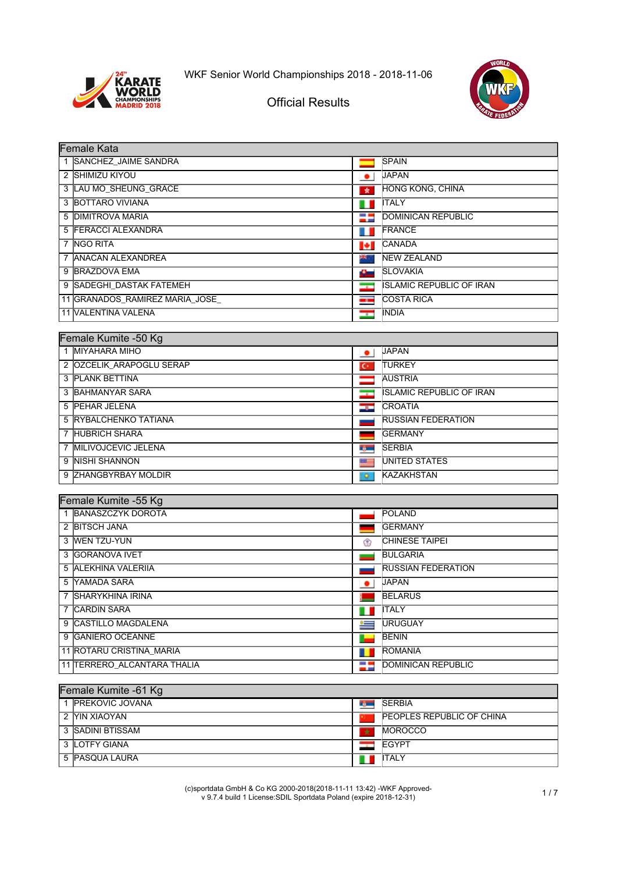



## Official Results

| Female Kata                     |                          |                                 |  |  |
|---------------------------------|--------------------------|---------------------------------|--|--|
| 1 SANCHEZ JAIME SANDRA          |                          | <b>SPAIN</b>                    |  |  |
| 2 SHIMIZU KIYOU                 | $\bullet$                | <b>JAPAN</b>                    |  |  |
| 3 LAU MO SHEUNG GRACE           | $\star$                  | HONG KONG, CHINA                |  |  |
| 3 BOTTARO VIVIANA               | ш                        | <b>ITALY</b>                    |  |  |
| 5 DIMITROVA MARIA               | -                        | <b>DOMINICAN REPUBLIC</b>       |  |  |
| 5 FERACCI ALEXANDRA             | ш                        | <b>IFRANCE</b>                  |  |  |
| 7 NGO RITA                      | И                        | <b>ICANADA</b>                  |  |  |
| 7 ANACAN ALEXANDREA             | <b>Reference</b>         | <b>INEW ZEALAND</b>             |  |  |
| 9 BRAZDOVA EMA                  | 41                       | <b>SLOVAKIA</b>                 |  |  |
| 9 SADEGHI DASTAK FATEMEH        | $\overline{\phantom{a}}$ | <b>ISLAMIC REPUBLIC OF IRAN</b> |  |  |
| 11 GRANADOS_RAMIREZ MARIA_JOSE_ | $\overline{\phantom{a}}$ | <b>COSTA RICA</b>               |  |  |
| <b>11 VALENTINA VALENA</b>      | $-$                      | <b>INDIA</b>                    |  |  |

| Female Kumite -50 Kg     |                          |                                 |  |  |
|--------------------------|--------------------------|---------------------------------|--|--|
| 1 MIYAHARA MIHO          | $\bullet$                | <b>JAPAN</b>                    |  |  |
| 2 OZCELIK ARAPOGLU SERAP | ю                        | <b>ITURKEY</b>                  |  |  |
| 3 PLANK BETTINA          |                          | <b>AUSTRIA</b>                  |  |  |
| 3 BAHMANYAR SARA         | $\overline{\phantom{a}}$ | <b>ISLAMIC REPUBLIC OF IRAN</b> |  |  |
| 5 PEHAR JELENA           | $\bullet$                | <b>CROATIA</b>                  |  |  |
| 5 RYBALCHENKO TATIANA    |                          | <b>RUSSIAN FEDERATION</b>       |  |  |
| 7 HUBRICH SHARA          |                          | <b>GERMANY</b>                  |  |  |
| 7 IMILIVOJCEVIC JELENA   | n por                    | <b>SERBIA</b>                   |  |  |
| 9 INISHI SHANNON         | æ                        | <b>IUNITED STATES</b>           |  |  |
| 9 ZHANGBYRBAY MOLDIR     | ۰                        | <b>KAZAKHSTAN</b>               |  |  |

| Female Kumite -55 Kg        |           |                           |  |  |
|-----------------------------|-----------|---------------------------|--|--|
| 1 BANASZCZYK DOROTA         |           | <b>POLAND</b>             |  |  |
| 2 BITSCH JANA               |           | <b>IGERMANY</b>           |  |  |
| 3 WEN TZU-YUN               | ♔         | <b>CHINESE TAIPEI</b>     |  |  |
| 3 GORANOVA IVET             |           | <b>BULGARIA</b>           |  |  |
| 5 ALEKHINA VALERIJA         |           | <b>RUSSIAN FEDERATION</b> |  |  |
| 5 YAMADA SARA               | $\bullet$ | <b>JAPAN</b>              |  |  |
| 7 ISHARYKHINA IRINA         |           | <b>BELARUS</b>            |  |  |
| 7 CARDIN SARA               |           | <b>ITALY</b>              |  |  |
| 9 CASTILLO MAGDALENA        | $\equiv$  | <b>IURUGUAY</b>           |  |  |
| 9 GANIERO OCEANNE           |           | <b>BENIN</b>              |  |  |
| 11 ROTARU CRISTINA MARIA    |           | <b>ROMANIA</b>            |  |  |
| 11 TERRERO ALCANTARA THALIA | -5        | <b>DOMINICAN REPUBLIC</b> |  |  |
|                             |           |                           |  |  |

| Female Kumite -61 Kg    |         |                                   |  |  |
|-------------------------|---------|-----------------------------------|--|--|
| <b>IPREKOVIC JOVANA</b> |         | <b>SERBIA</b>                     |  |  |
| 2 IYIN XIAOYAN          |         | <b>IPEOPLES REPUBLIC OF CHINA</b> |  |  |
| 3 ISADINI BTISSAM       | $\star$ | <b>IMOROCCO</b>                   |  |  |
| 3 LOTFY GIANA           |         | <b>IEGYPT</b>                     |  |  |
| 5 PASQUA LAURA          |         | <b>I</b> TALY                     |  |  |

(c)sportdata GmbH & Co KG 2000-2018(2018-11-11 13:42) -WKF Approved-v 9.7.4 build 1 License:SDIL Sportdata Poland (expire 2018-12-31) 1 / 7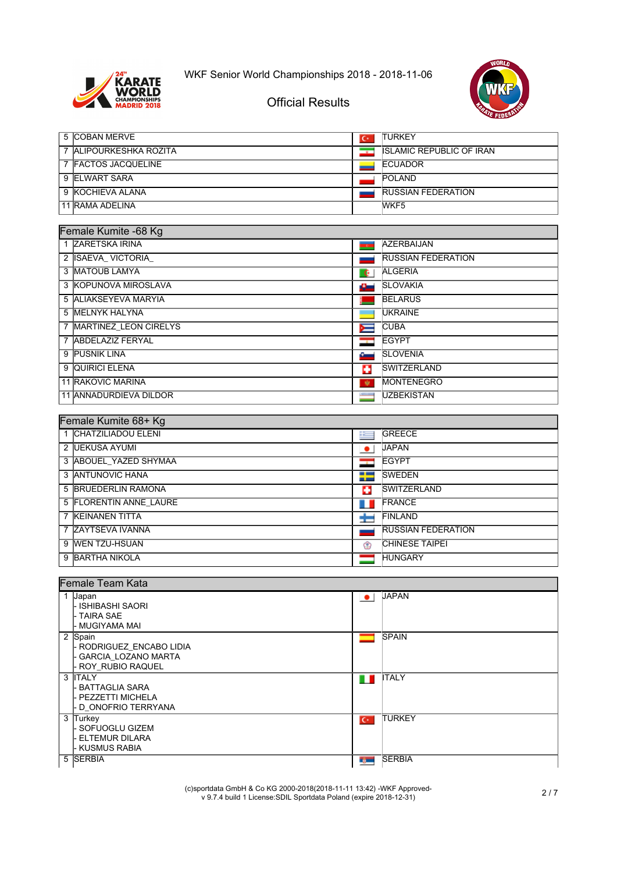



#### Official Results

| 5 COBAN MERVE                       | $C^*$              | <b>TURKEY</b>                   |
|-------------------------------------|--------------------|---------------------------------|
| 7 ALIPOURKESHKA ROZITA              | $\overline{\cdot}$ | <b>ISLAMIC REPUBLIC OF IRAN</b> |
| 7 FACTOS JACQUELINE                 |                    | <b>ECUADOR</b>                  |
| 9 ELWART SARA                       |                    | POLAND                          |
| 9 KOCHIEVA ALANA                    |                    | <b>RUSSIAN FEDERATION</b>       |
| 11 RAMA ADELINA                     |                    | WKF <sub>5</sub>                |
|                                     |                    |                                 |
| Female Kumite -68 Kg                |                    |                                 |
| 1 ZARETSKA IRINA                    |                    | <b>AZERBAIJAN</b>               |
| 2 ISAEVA_VICTORIA_                  |                    | <b>RUSSIAN FEDERATION</b>       |
| 3 MATOUB LAMYA                      | $\mathbf{G}$       | <b>ALGERIA</b>                  |
| 3 KOPUNOVA MIROSLAVA                | ш.                 | <b>SLOVAKIA</b>                 |
| 5 ALIAKSEYEVA MARYIA                |                    | <b>BELARUS</b>                  |
| 5 MELNYK HALYNA                     |                    | <b>UKRAINE</b>                  |
| 7 MARTINEZ_LEON CIRELYS             | $\blacksquare$     | <b>CUBA</b>                     |
| 7 ABDELAZIZ FERYAL                  |                    | <b>EGYPT</b>                    |
| 9 PUSNIK LINA                       | ست                 | <b>SLOVENIA</b>                 |
| 9 QUIRICI ELENA                     | o                  | <b>SWITZERLAND</b>              |
| <b>11 RAKOVIC MARINA</b>            | 寮                  | <b>MONTENEGRO</b>               |
| 11 ANNADURDIEVA DILDOR              |                    | <b>UZBEKISTAN</b>               |
|                                     |                    |                                 |
| Female Kumite 68+ Kg                |                    |                                 |
| 1 CHATZILIADOU ELENI                | 明日                 | GREECE                          |
| 2 UEKUSA AYUMI                      | $\bullet$          | <b>JAPAN</b>                    |
| 3 ABOUEL_YAZED SHYMAA               | œ                  | <b>EGYPT</b>                    |
| 3 ANTUNOVIC HANA                    | ÷                  | <b>SWEDEN</b>                   |
| 5 BRUEDERLIN RAMONA                 | Ð                  | <b>SWITZERLAND</b>              |
| 5 FLORENTIN ANNE_LAURE              |                    | FRANCE                          |
| 7 KEINANEN TITTA                    |                    | <b>FINLAND</b>                  |
| 7 ZAYTSEVA IVANNA                   | ÷                  | <b>RUSSIAN FEDERATION</b>       |
| 9 WEN TZU-HSUAN                     |                    | CHINESE TAIPEI                  |
|                                     | ☺                  |                                 |
| 9 BARTHA NIKOLA                     | —                  | <b>HUNGARY</b>                  |
| <b>Female Team Kata</b>             |                    |                                 |
| 1 Japan                             |                    | <b>JAPAN</b>                    |
| - ISHIBASHI SAORI                   | $\bullet$          |                                 |
| - TAIRA SAE                         |                    |                                 |
| <b>MUGIYAMA MAI</b>                 |                    | <b>SPAIN</b>                    |
| 2 Spain<br>- RODRIGUEZ_ENCABO LIDIA | -                  |                                 |
| <b>GARCIA_LOZANO MARTA</b>          |                    |                                 |
| ROY RUBIO RAQUEL                    |                    |                                 |
| 3 <b>ITALY</b><br>- BATTAGLIA SARA  | n n                | <b>ITALY</b>                    |
| PEZZETTI MICHELA                    |                    |                                 |
| <b>D_ONOFRIO TERRYANA</b>           |                    |                                 |
| 3 Turkey<br><b>SOFUOGLU GIZEM</b>   | $\overline{C}$     | <b>TURKEY</b>                   |
| ELTEMUR DILARA                      |                    |                                 |
| KUSMUS RABIA                        |                    |                                 |
| <b>SERBIA</b><br>5                  | rg –               | <b>SERBIA</b>                   |
|                                     |                    |                                 |

(c)sportdata GmbH & Co KG 2000-2018(2018-11-11 13:42) -WKF Approved-v 9.7.4 build 1 License:SDIL Sportdata Poland (expire 2018-12-31) 2 / 7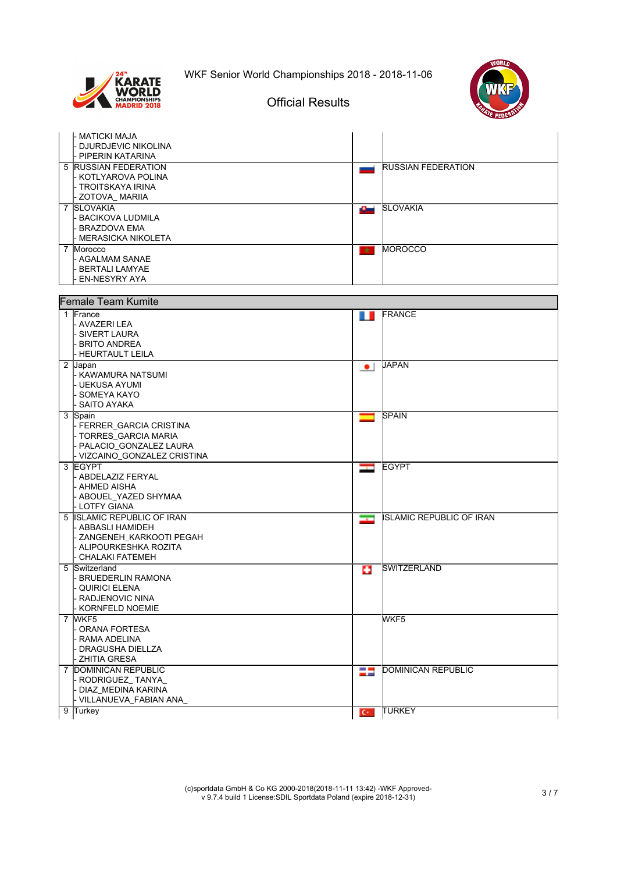

## Official Results

|   | - MATICKI MAJA<br><b>DJURDJEVIC NIKOLINA</b>       |                          |                           |
|---|----------------------------------------------------|--------------------------|---------------------------|
|   | - PIPERIN KATARINA                                 |                          |                           |
|   | <b>5 RUSSIAN FEDERATION</b><br>- KOTLYAROVA POLINA | لسيد                     | <b>RUSSIAN FEDERATION</b> |
|   | - TROITSKAYA IRINA                                 |                          |                           |
|   | - ZOTOVA MARIIA                                    |                          |                           |
|   | 7 SLOVAKIA<br>- BACIKOVA LUDMILA                   | سائل                     | <b>SLOVAKIA</b>           |
|   | - BRAZDOVA EMA                                     |                          |                           |
|   | - MERASICKA NIKOLETA                               |                          |                           |
|   | 7 Morocco                                          | $\star$                  | <b>MOROCCO</b>            |
|   | - AGALMAM SANAE<br>- BERTALI LAMYAE                |                          |                           |
|   | <b>EN-NESYRY AYA</b>                               |                          |                           |
|   |                                                    |                          |                           |
|   | <b>Female Team Kumite</b>                          |                          |                           |
|   | 1 France<br>- AVAZERI LEA                          | O                        | <b>FRANCE</b>             |
|   | - SIVERT LAURA                                     |                          |                           |
|   | - BRITO ANDREA<br>- HEURTAULT LEILA                |                          |                           |
|   | 2 Japan                                            | $\bullet$                | <b>JAPAN</b>              |
|   | - KAWAMURA NATSUMI                                 |                          |                           |
|   | - UEKUSA AYUMI<br>- SOMEYA KAYO                    |                          |                           |
|   | - SAITO AYAKA                                      |                          |                           |
|   | 3 Spain                                            | ╾                        | <b>SPAIN</b>              |
|   | - FERRER_GARCIA CRISTINA                           |                          |                           |
|   | - TORRES_GARCIA MARIA<br>- PALACIO_GONZALEZ LAURA  |                          |                           |
|   | - VIZCAINO_GONZALEZ CRISTINA                       |                          |                           |
|   | 3 EGYPT<br>- ABDELAZIZ FERYAL                      | $\overline{\phantom{a}}$ | <b>EGYPT</b>              |
|   | - AHMED AISHA                                      |                          |                           |
|   | - ABOUEL_YAZED SHYMAA                              |                          |                           |
| 5 | - LOTFY GIANA<br><b>ISLAMIC REPUBLIC OF IRAN</b>   |                          | IISLAMIC REPUBLIC OF IRAN |
|   | - ABBASLI HAMIDEH                                  | $\overline{\phantom{a}}$ |                           |
|   | - ZANGENEH KARKOOTI PEGAH                          |                          |                           |
|   | - ALIPOURKESHKA ROZITA<br>· CHALAKI FATEMEH        |                          |                           |
|   | 5 Switzerland                                      | ш                        | <b>SWITZERLAND</b>        |
|   | - BRUEDERLIN RAMONA                                |                          |                           |
|   | - QUIRICI ELENA<br>RADJENOVIC NINA                 |                          |                           |
|   | KORNFELD NOEMIE                                    |                          |                           |
|   | 7 WKF5                                             |                          | WKF5                      |
|   | ORANA FORTESA<br>RAMA ADELINA                      |                          |                           |
|   | <b>DRAGUSHA DIELLZA</b>                            |                          |                           |
|   | - ZHITIA GRESA                                     |                          |                           |
|   | 7 DOMINICAN REPUBLIC<br>- RODRIGUEZ_TANYA_         | H                        | DOMINICAN REPUBLIC        |
|   | DIAZ MEDINA KARINA                                 |                          |                           |
|   | - VILLANUEVA_FABIAN ANA_                           |                          |                           |
| 9 | Turkey                                             | $C^*$                    | <b>TURKEY</b>             |

(c)sportdata GmbH & Co KG 2000-2018(2018-11-11 13:42) -WKF Approved-v 9.7.4 build 1 License:SDIL Sportdata Poland (expire 2018-12-31) 3 / 7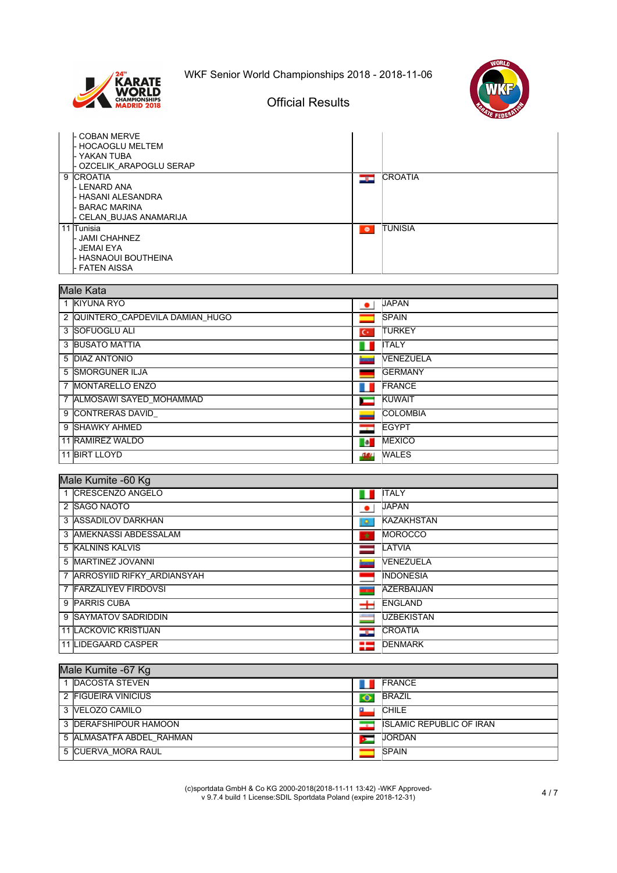





# Official Results

| COBAN MERVE<br><b>HOCAOGLU MELTEM</b><br>YAKAN TUBA<br>OZCELIK ARAPOGLU SERAP                        |           |                |
|------------------------------------------------------------------------------------------------------|-----------|----------------|
| 9 CROATIA<br>L LENARD ANA<br><b>HASANI ALESANDRA</b><br><b>BARAC MARINA</b><br>CELAN BUJAS ANAMARIJA | دود       | <b>CROATIA</b> |
| 11 Tunisia<br>- JAMI CHAHNEZ<br>- JEMAI EYA<br>· HASNAOUI BOUTHEINA<br>· FATEN AISSA                 | $\bullet$ | <b>TUNISIA</b> |

|                | Male Kata                         |                          |                  |  |  |
|----------------|-----------------------------------|--------------------------|------------------|--|--|
|                | 1 KIYUNA RYO                      | $\bullet$                | <b>JAPAN</b>     |  |  |
|                | 2  QUINTERO_CAPDEVILA DAMIAN_HUGO |                          | <b>SPAIN</b>     |  |  |
|                | 3 SOFUOGLU ALI                    | $\overline{C}$           | <b>TURKEY</b>    |  |  |
|                | 3 BUSATO MATTIA                   |                          | <b>ITALY</b>     |  |  |
|                | 5 <b>DIAZ ANTONIO</b>             |                          | <b>NENEZUELA</b> |  |  |
|                | 5 SMORGUNER ILJA                  |                          | <b>GERMANY</b>   |  |  |
| $\overline{7}$ | <b>MONTARELLO ENZO</b>            |                          | <b>FRANCE</b>    |  |  |
|                | 7 ALMOSAWI SAYED MOHAMMAD         |                          | KUWAIT           |  |  |
|                | 9 CONTRERAS DAVID                 |                          | <b>COLOMBIA</b>  |  |  |
|                | 9 SHAWKY AHMED                    | $\overline{\phantom{a}}$ | <b>EGYPT</b>     |  |  |
|                | 11 RAMIREZ WALDO                  | <b>De</b>                | <b>MEXICO</b>    |  |  |
|                | 11 BIRT LLOYD                     | $-2.64$                  | <b>WALES</b>     |  |  |

#### Male Kumite -60 Kg

| 1 CRESCENZO ANGELO           |           | <b>ITALY</b>       |  |  |
|------------------------------|-----------|--------------------|--|--|
| 2 SAGO NAOTO                 | $\bullet$ | <b>JAPAN</b>       |  |  |
| 3 ASSADILOV DARKHAN          | ۰         | <b>KAZAKHSTAN</b>  |  |  |
| 3 AMEKNASSI ABDESSALAM       | $\star$   | <b>MOROCCO</b>     |  |  |
| 5 KALNINS KALVIS             |           | LATVIA             |  |  |
| 5 MARTINEZ JOVANNI           |           | <b>VENEZUELA</b>   |  |  |
| 7 ARROSYIID RIFKY ARDIANSYAH |           | <b>IINDONESIA</b>  |  |  |
| 7 FARZALIYEV FIRDOVSI        | <b>TO</b> | <b>AZERBAIJAN</b>  |  |  |
| 9 PARRIS CUBA                | $\pm$     | <b>IENGLAND</b>    |  |  |
| 9 SAYMATOV SADRIDDIN         |           | <b>IUZBEKISTAN</b> |  |  |
| <b>11 LACKOVIC KRISTIJAN</b> | درد       | <b>CROATIA</b>     |  |  |
| 11 LIDEGAARD CASPER          | =         | <b>IDENMARK</b>    |  |  |

| Male Kumite -67 Kg            |           |                                 |  |  |
|-------------------------------|-----------|---------------------------------|--|--|
| 1 DACOSTA STEVEN              |           | <b>FRANCE</b>                   |  |  |
| 2 FIGUEIRA VINICIUS           | $\bullet$ | <b>BRAZIL</b>                   |  |  |
| 3 VELOZO CAMILO               |           | <b>CHILE</b>                    |  |  |
| 3 <b>IDERAFSHIPOUR HAMOON</b> | $\sim$    | <b>ISLAMIC REPUBLIC OF IRAN</b> |  |  |
| 5 ALMASATFA ABDEL RAHMAN      |           | <b>JORDAN</b>                   |  |  |
| 5 CUERVA MORA RAUL            |           | <b>SPAIN</b>                    |  |  |

(c)sportdata GmbH & Co KG 2000-2018(2018-11-11 13:42) -WKF Approved-v 9.7.4 build 1 License:SDIL Sportdata Poland (expire 2018-12-31) 4 / 7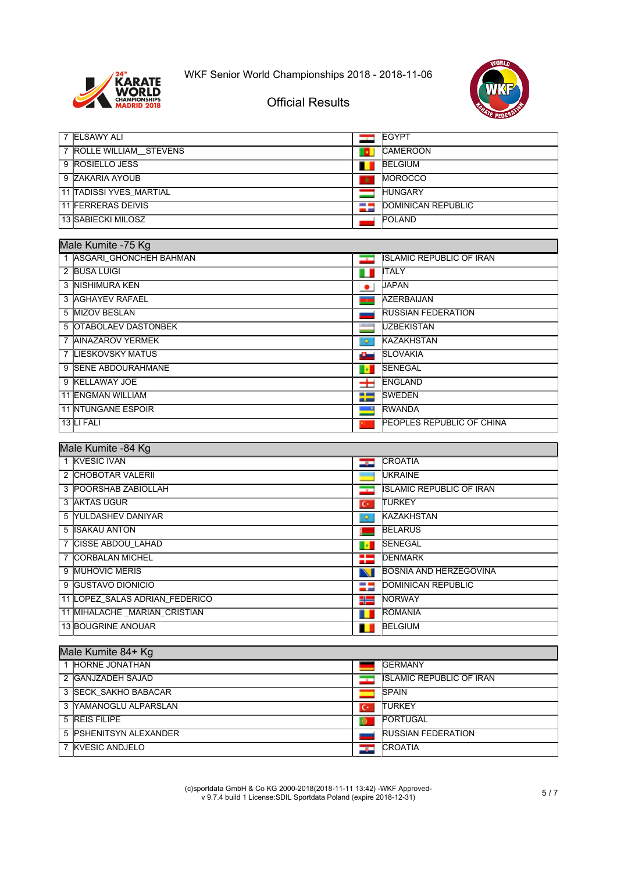



| 7 <b>ELSAWY ALI</b>     |         | <b>IEGYPT</b>             |
|-------------------------|---------|---------------------------|
| 7 ROLLE WILLIAM STEVENS |         | <b>CAMEROON</b>           |
| 9 ROSIELLO JESS         |         | <b>BELGIUM</b>            |
| 9 ZAKARIA AYOUB         | $\star$ | <b>MOROCCO</b>            |
| 11 TADISSI YVES MARTIAL |         | <b>HUNGARY</b>            |
| 11 FERRERAS DEIVIS      | 25      | <b>DOMINICAN REPUBLIC</b> |
| 13 SABIECKI MILOSZ      |         | <b>POLAND</b>             |

| Male Kumite -75 Kg |                            |                          |                                   |
|--------------------|----------------------------|--------------------------|-----------------------------------|
|                    | 1 ASGARI GHONCHEH BAHMAN   | $\overline{\phantom{a}}$ | <b>ISLAMIC REPUBLIC OF IRAN</b>   |
|                    | 2 BUSA LUIGI               | ш                        | <b>ITALY</b>                      |
|                    | 3 INISHIMURA KEN           | $\bullet$                | <b>JAPAN</b>                      |
|                    | 3 AGHAYEV RAFAEL           |                          | <b>AZERBAIJAN</b>                 |
|                    | 5 MIZOV BESLAN             |                          | <b>RUSSIAN FEDERATION</b>         |
|                    | 5 OTABOLAEV DASTONBEK      |                          | <b>UZBEKISTAN</b>                 |
|                    | 7 AINAZAROV YERMEK         | ۰                        | <b>KAZAKHSTAN</b>                 |
|                    | 7 LIESKOVSKY MATUS         | سائك                     | <b>SLOVAKIA</b>                   |
|                    | 9 ISENE ABDOURAHMANE       | - 12                     | <b>ISENEGAL</b>                   |
|                    | 9 KELLAWAY JOE             | ᆂ                        | <b>IENGLAND</b>                   |
|                    | <b>11 ENGMAN WILLIAM</b>   | ₩                        | <b>ISWEDEN</b>                    |
|                    | <b>11 INTUNGANE ESPOIR</b> |                          | <b>RWANDA</b>                     |
|                    | 13 LI FALI                 |                          | <b>IPEOPLES REPUBLIC OF CHINA</b> |
|                    |                            |                          |                                   |

| Male Kumite -84 Kg |                                |                          |                                 |
|--------------------|--------------------------------|--------------------------|---------------------------------|
|                    | 1 KVESIC IVAN                  | درد                      | <b>CROATIA</b>                  |
|                    | 2 CHOBOTAR VALERII             |                          | <b>IUKRAINE</b>                 |
|                    | 3 POORSHAB ZABIOLLAH           | $\overline{\phantom{a}}$ | <b>ISLAMIC REPUBLIC OF IRAN</b> |
|                    | 3 IAKTAS UGUR                  | $C^*$                    | <b>ITURKEY</b>                  |
|                    | 5 YULDASHEV DANIYAR            | ۰                        | <b>KAZAKHSTAN</b>               |
|                    | 5 ISAKAU ANTON                 |                          | <b>BELARUS</b>                  |
|                    | 7 ICISSE ABDOU LAHAD           | 18                       | <b>SENEGAL</b>                  |
|                    | 7 CORBALAN MICHEL              | ₩                        | <b>IDENMARK</b>                 |
|                    | 9 MUHOVIC MERIS                | N                        | BOSNIA AND HERZEGOVINA          |
|                    | 9 IGUSTAVO DIONICIO            | -                        | DOMINICAN REPUBLIC              |
|                    | 11 LOPEZ SALAS ADRIAN FEDERICO | ₩                        | <b>NORWAY</b>                   |
|                    | 11 MIHALACHE _MARIAN_CRISTIAN  |                          | <b>ROMANIA</b>                  |
|                    | 13 BOUGRINE ANOUAR             |                          | <b>BELGIUM</b>                  |

| Male Kumite 84+ Kg |                        |                |                                 |
|--------------------|------------------------|----------------|---------------------------------|
|                    | 1 HORNE JONATHAN       |                | <b>IGERMANY</b>                 |
|                    | 2 GANJZADEH SAJAD      |                | <b>ISLAMIC REPUBLIC OF IRAN</b> |
|                    | 3 SECK SAKHO BABACAR   |                | <b>ISPAIN</b>                   |
|                    | 3 YAMANOGLU ALPARSLAN  | $\overline{C}$ | <b>ITURKEY</b>                  |
|                    | 5 REIS FILIPE          | <b>O</b>       | <b>PORTUGAL</b>                 |
|                    | 5 PSHENITSYN ALEXANDER |                | <b>RUSSIAN FEDERATION</b>       |
|                    | 7 KVESIC ANDJELO       | E T            | <b>ICROATIA</b>                 |

(c)sportdata GmbH & Co KG 2000-2018(2018-11-11 13:42) -WKF Approved-v 9.7.4 build 1 License:SDIL Sportdata Poland (expire 2018-12-31) 5 / 7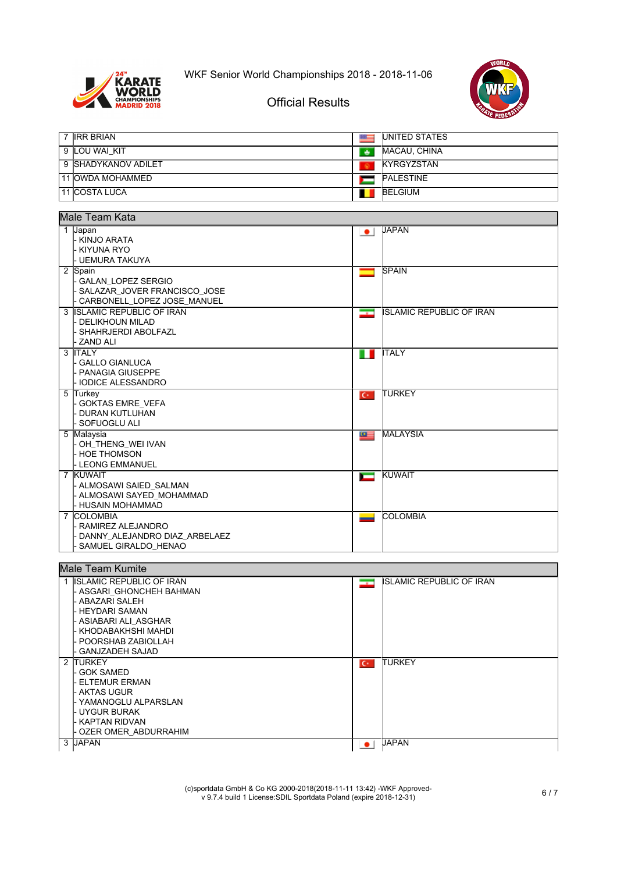



Official Results

| 7 <b>IRR BRIAN</b>  | $=$ | <b>IUNITED STATES</b> |
|---------------------|-----|-----------------------|
| 9 ILOU WAI KIT      | یق  | MACAU, CHINA          |
| 9 SHADYKANOV ADILET |     | <b>IKYRGYZSTAN</b>    |
| 11 IOWDA MOHAMMED   |     | <b>PALESTINE</b>      |
| 11 ICOSTA LUCA      |     | BELGIUM               |

| Male Team Kata                                                                                                                                  |                                                             |  |  |
|-------------------------------------------------------------------------------------------------------------------------------------------------|-------------------------------------------------------------|--|--|
| 1 Japan<br>- KINJO ARATA<br>- KIYUNA RYO<br>- UEMURA TAKUYA                                                                                     | <b>JAPAN</b><br>$\bullet$                                   |  |  |
| 2 Spain<br><b>GALAN LOPEZ SERGIO</b><br>- SALAZAR_JOVER FRANCISCO_JOSE<br>- CARBONELL LOPEZ JOSE MANUEL                                         | <b>SPAIN</b><br>۰                                           |  |  |
| 3 ISLAMIC REPUBLIC OF IRAN<br>- DELIKHOUN MILAD<br>- SHAHRJERDI ABOLFAZL<br>- ZAND ALI                                                          | <b>ISLAMIC REPUBLIC OF IRAN</b><br>$\overline{\phantom{a}}$ |  |  |
| 3 ITALY<br>- GALLO GIANLUCA<br>- PANAGIA GIUSEPPE<br>- IODICE ALESSANDRO                                                                        | <b>ITALY</b><br>T E                                         |  |  |
| 5 Turkey<br>- GOKTAS EMRE_VEFA<br>- DURAN KUTLUHAN<br>l- SOFUOGLU ALI                                                                           | <b>TURKEY</b><br>$C^*$                                      |  |  |
| 5 Malaysia<br>- OH THENG WEI IVAN<br>- HOE THOMSON<br>l- LEONG EMMANUEL                                                                         | <b>MALAYSIA</b><br>$\circ$ $=$                              |  |  |
| 7 KUWAIT<br>- ALMOSAWI SAIED SALMAN<br>- ALMOSAWI SAYED_MOHAMMAD<br>l- HUSAIN MOHAMMAD                                                          | KUWAIT<br>$\overline{\phantom{0}}$                          |  |  |
| 7 COLOMBIA<br>- RAMIREZ ALEJANDRO<br>DANNY ALEJANDRO DIAZ ARBELAEZ<br>SAMUEL GIRALDO HENAO                                                      | <b>COLOMBIA</b>                                             |  |  |
| <b>Male Team Kumite</b>                                                                                                                         |                                                             |  |  |
| 1 ISLAMIC REPUBLIC OF IRAN<br>- ASGARI GHONCHEH BAHMAN<br>- ABAZARI SALEH<br>- HEYDARI SAMAN<br> - ASIABARI ALI ASGHAR<br> - KHODABAKHSHI MAHDI | <b>ISLAMIC REPUBLIC OF IRAN</b><br>$\overline{\phantom{a}}$ |  |  |

| I- KHODABAKHSHI MAHDI<br>l- POORSHAB ZABIOLLAH<br>- GANJZADEH SAJAD |                |               |
|---------------------------------------------------------------------|----------------|---------------|
| 2 ITURKEY                                                           | $\overline{C}$ | <b>TURKEY</b> |
| - GOK SAMED                                                         |                |               |
| - ELTEMUR ERMAN                                                     |                |               |
| I- AKTAS UGUR                                                       |                |               |
| l YAMANOGLU ALPARSLAN                                               |                |               |
| I- UYGUR BURAK                                                      |                |               |
| L KAPTAN RIDVAN                                                     |                |               |
| - OZER OMER_ABDURRAHIM                                              |                |               |
| 3 JAPAN                                                             |                | <b>JAPAN</b>  |

(c)sportdata GmbH & Co KG 2000-2018(2018-11-11 13:42) -WKF Approved-v 9.7.4 build 1 License:SDIL Sportdata Poland (expire 2018-12-31) 6 / 7